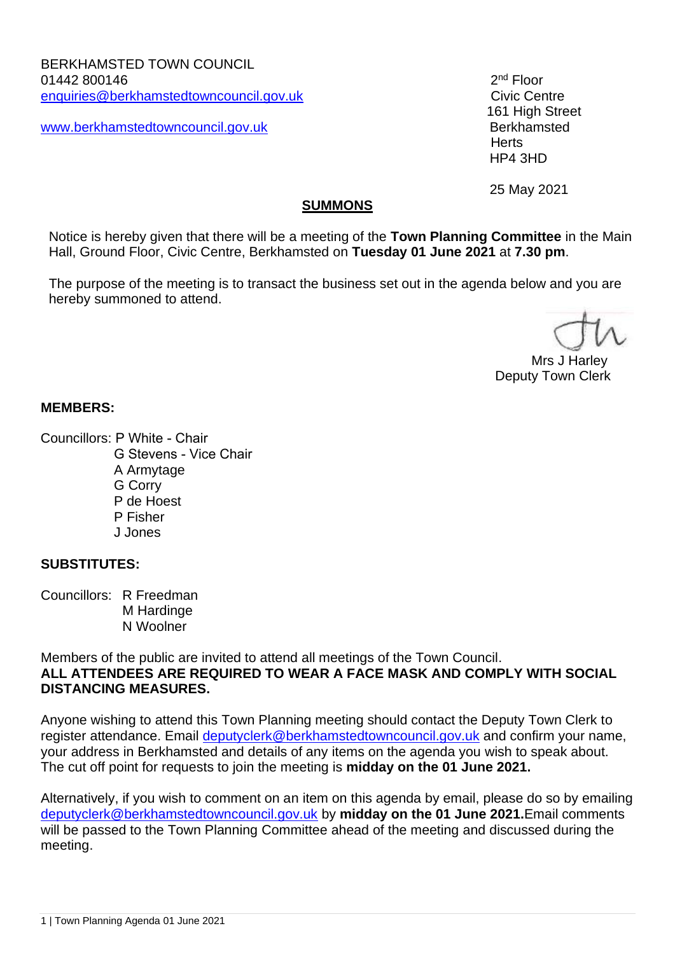[www.berkhamstedtowncouncil.gov.uk](http://www.berkhamstedtowncouncil.gov.uk/) Berkhamsted

 $2<sup>nd</sup>$  Floor 161 High Street **Herts** HP4 3HD

25 May 2021

### **SUMMONS**

Notice is hereby given that there will be a meeting of the **Town Planning Committee** in the Main Hall, Ground Floor, Civic Centre, Berkhamsted on **Tuesday 01 June 2021** at **7.30 pm**.

The purpose of the meeting is to transact the business set out in the agenda below and you are hereby summoned to attend.

 Mrs J Harley Deputy Town Clerk

### **MEMBERS:**

Councillors: P White - Chair

 G Stevens - Vice Chair A Armytage G Corry P de Hoest P Fisher J Jones

# **SUBSTITUTES:**

Councillors: R Freedman M Hardinge N Woolner

Members of the public are invited to attend all meetings of the Town Council. **ALL ATTENDEES ARE REQUIRED TO WEAR A FACE MASK AND COMPLY WITH SOCIAL DISTANCING MEASURES.** 

Anyone wishing to attend this Town Planning meeting should contact the Deputy Town Clerk to register attendance. Email [deputyclerk@berkhamstedtowncouncil.gov.uk](mailto:deputyclerk@berkhamstedtowncouncil.gov.uk) and confirm your name, your address in Berkhamsted and details of any items on the agenda you wish to speak about. The cut off point for requests to join the meeting is **midday on the 01 June 2021.**

Alternatively, if you wish to comment on an item on this agenda by email, please do so by emailing [deputyclerk@berkhamstedtowncouncil.gov.uk](mailto:deputyclerk@berkhamstedtowncouncil.gov.uk) by **midday on the 01 June 2021.**Email comments will be passed to the Town Planning Committee ahead of the meeting and discussed during the meeting.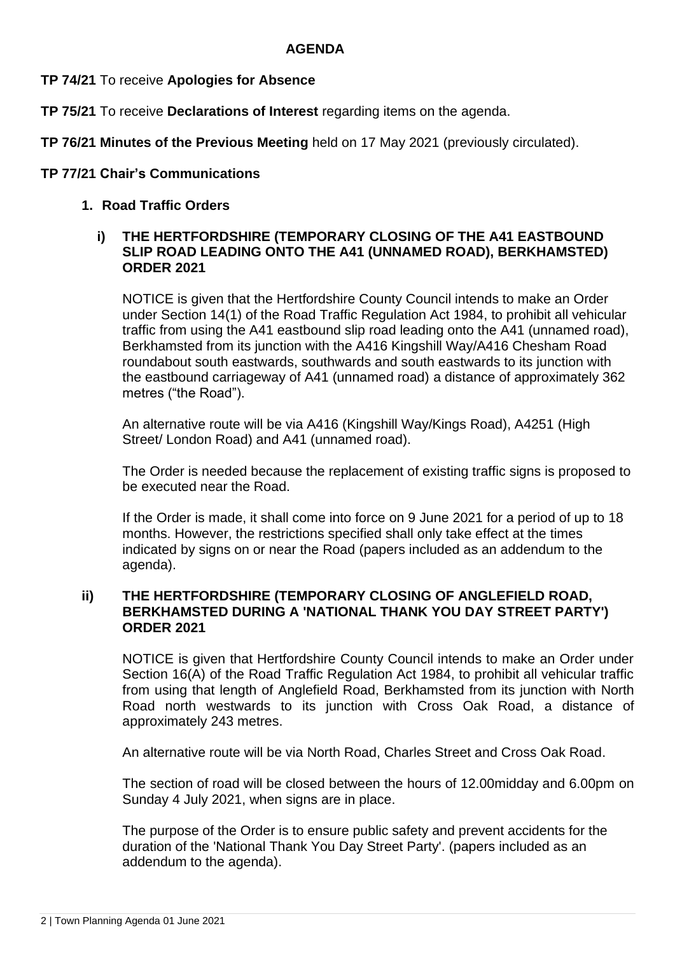### **AGENDA**

**TP 74/21** To receive **Apologies for Absence**

- **TP 75/21** To receive **Declarations of Interest** regarding items on the agenda.
- **TP 76/21 Minutes of the Previous Meeting** held on 17 May 2021 (previously circulated).

## **TP 77/21 Chair's Communications**

## **1. Road Traffic Orders**

### **i) THE HERTFORDSHIRE (TEMPORARY CLOSING OF THE A41 EASTBOUND SLIP ROAD LEADING ONTO THE A41 (UNNAMED ROAD), BERKHAMSTED) ORDER 2021**

NOTICE is given that the Hertfordshire County Council intends to make an Order under Section 14(1) of the Road Traffic Regulation Act 1984, to prohibit all vehicular traffic from using the A41 eastbound slip road leading onto the A41 (unnamed road), Berkhamsted from its junction with the A416 Kingshill Way/A416 Chesham Road roundabout south eastwards, southwards and south eastwards to its junction with the eastbound carriageway of A41 (unnamed road) a distance of approximately 362 metres ("the Road").

An alternative route will be via A416 (Kingshill Way/Kings Road), A4251 (High Street/ London Road) and A41 (unnamed road).

The Order is needed because the replacement of existing traffic signs is proposed to be executed near the Road.

If the Order is made, it shall come into force on 9 June 2021 for a period of up to 18 months. However, the restrictions specified shall only take effect at the times indicated by signs on or near the Road (papers included as an addendum to the agenda).

## **ii) THE HERTFORDSHIRE (TEMPORARY CLOSING OF ANGLEFIELD ROAD, BERKHAMSTED DURING A 'NATIONAL THANK YOU DAY STREET PARTY') ORDER 2021**

NOTICE is given that Hertfordshire County Council intends to make an Order under Section 16(A) of the Road Traffic Regulation Act 1984, to prohibit all vehicular traffic from using that length of Anglefield Road, Berkhamsted from its junction with North Road north westwards to its junction with Cross Oak Road, a distance of approximately 243 metres.

An alternative route will be via North Road, Charles Street and Cross Oak Road.

The section of road will be closed between the hours of 12.00midday and 6.00pm on Sunday 4 July 2021, when signs are in place.

The purpose of the Order is to ensure public safety and prevent accidents for the duration of the 'National Thank You Day Street Party'. (papers included as an addendum to the agenda).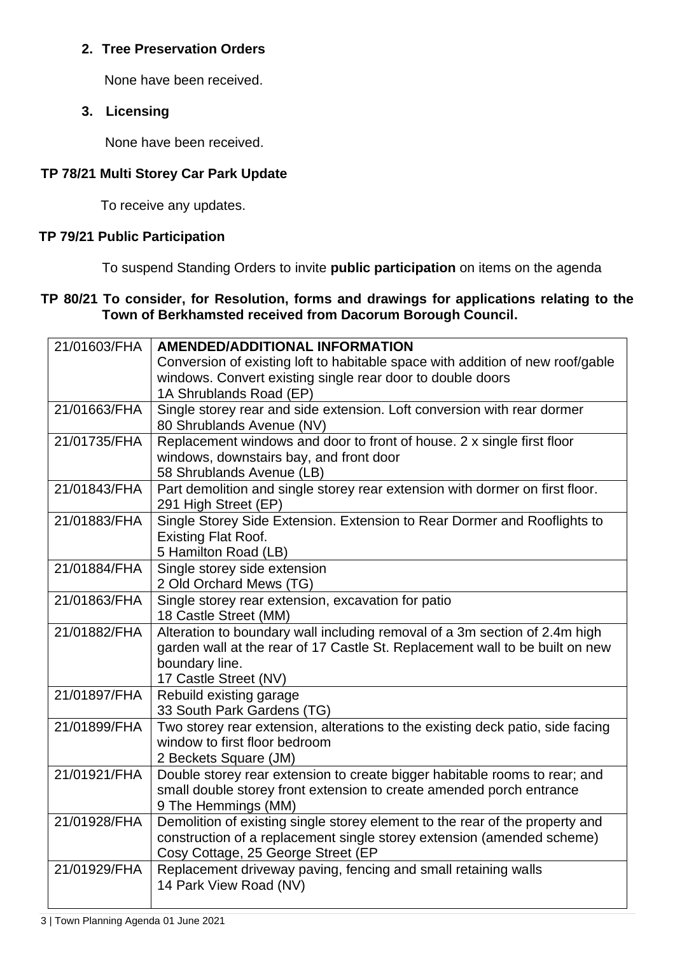# **2. Tree Preservation Orders**

None have been received.

## **3. Licensing**

None have been received.

# **TP 78/21 Multi Storey Car Park Update**

To receive any updates.

# **TP 79/21 Public Participation**

To suspend Standing Orders to invite **public participation** on items on the agenda

## **TP 80/21 To consider, for Resolution, forms and drawings for applications relating to the Town of Berkhamsted received from Dacorum Borough Council.**

| 21/01603/FHA | <b>AMENDED/ADDITIONAL INFORMATION</b>                                                                |
|--------------|------------------------------------------------------------------------------------------------------|
|              | Conversion of existing loft to habitable space with addition of new roof/gable                       |
|              | windows. Convert existing single rear door to double doors                                           |
|              | 1A Shrublands Road (EP)                                                                              |
| 21/01663/FHA | Single storey rear and side extension. Loft conversion with rear dormer<br>80 Shrublands Avenue (NV) |
| 21/01735/FHA | Replacement windows and door to front of house. 2 x single first floor                               |
|              | windows, downstairs bay, and front door                                                              |
|              | 58 Shrublands Avenue (LB)                                                                            |
| 21/01843/FHA | Part demolition and single storey rear extension with dormer on first floor.                         |
|              | 291 High Street (EP)                                                                                 |
| 21/01883/FHA | Single Storey Side Extension. Extension to Rear Dormer and Rooflights to                             |
|              | <b>Existing Flat Roof.</b>                                                                           |
|              | 5 Hamilton Road (LB)                                                                                 |
| 21/01884/FHA | Single storey side extension                                                                         |
|              | 2 Old Orchard Mews (TG)                                                                              |
| 21/01863/FHA | Single storey rear extension, excavation for patio                                                   |
|              | 18 Castle Street (MM)                                                                                |
| 21/01882/FHA | Alteration to boundary wall including removal of a 3m section of 2.4m high                           |
|              | garden wall at the rear of 17 Castle St. Replacement wall to be built on new                         |
|              | boundary line.                                                                                       |
|              | 17 Castle Street (NV)                                                                                |
| 21/01897/FHA | Rebuild existing garage                                                                              |
|              | 33 South Park Gardens (TG)                                                                           |
| 21/01899/FHA | Two storey rear extension, alterations to the existing deck patio, side facing                       |
|              | window to first floor bedroom                                                                        |
|              | 2 Beckets Square (JM)                                                                                |
| 21/01921/FHA | Double storey rear extension to create bigger habitable rooms to rear; and                           |
|              | small double storey front extension to create amended porch entrance                                 |
|              | 9 The Hemmings (MM)                                                                                  |
| 21/01928/FHA | Demolition of existing single storey element to the rear of the property and                         |
|              | construction of a replacement single storey extension (amended scheme)                               |
|              | Cosy Cottage, 25 George Street (EP                                                                   |
| 21/01929/FHA | Replacement driveway paving, fencing and small retaining walls                                       |
|              | 14 Park View Road (NV)                                                                               |
|              |                                                                                                      |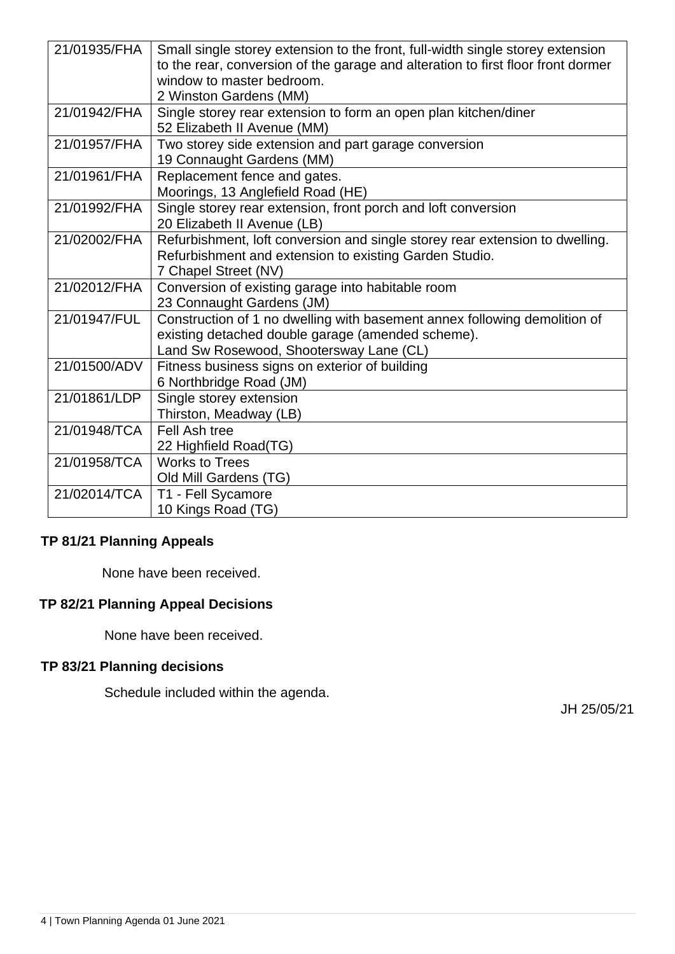| 21/01935/FHA | Small single storey extension to the front, full-width single storey extension<br>to the rear, conversion of the garage and alteration to first floor front dormer<br>window to master bedroom.<br>2 Winston Gardens (MM) |
|--------------|---------------------------------------------------------------------------------------------------------------------------------------------------------------------------------------------------------------------------|
| 21/01942/FHA | Single storey rear extension to form an open plan kitchen/diner<br>52 Elizabeth II Avenue (MM)                                                                                                                            |
| 21/01957/FHA | Two storey side extension and part garage conversion<br>19 Connaught Gardens (MM)                                                                                                                                         |
| 21/01961/FHA | Replacement fence and gates.<br>Moorings, 13 Anglefield Road (HE)                                                                                                                                                         |
| 21/01992/FHA | Single storey rear extension, front porch and loft conversion<br>20 Elizabeth II Avenue (LB)                                                                                                                              |
| 21/02002/FHA | Refurbishment, loft conversion and single storey rear extension to dwelling.<br>Refurbishment and extension to existing Garden Studio.<br>7 Chapel Street (NV)                                                            |
| 21/02012/FHA | Conversion of existing garage into habitable room<br>23 Connaught Gardens (JM)                                                                                                                                            |
| 21/01947/FUL | Construction of 1 no dwelling with basement annex following demolition of<br>existing detached double garage (amended scheme).<br>Land Sw Rosewood, Shootersway Lane (CL)                                                 |
| 21/01500/ADV | Fitness business signs on exterior of building<br>6 Northbridge Road (JM)                                                                                                                                                 |
| 21/01861/LDP | Single storey extension<br>Thirston, Meadway (LB)                                                                                                                                                                         |
| 21/01948/TCA | Fell Ash tree<br>22 Highfield Road(TG)                                                                                                                                                                                    |
| 21/01958/TCA | <b>Works to Trees</b><br>Old Mill Gardens (TG)                                                                                                                                                                            |
| 21/02014/TCA | T1 - Fell Sycamore<br>10 Kings Road (TG)                                                                                                                                                                                  |

# **TP 81/21 Planning Appeals**

None have been received.

# **TP 82/21 Planning Appeal Decisions**

None have been received.

# **TP 83/21 Planning decisions**

Schedule included within the agenda.

JH 25/05/21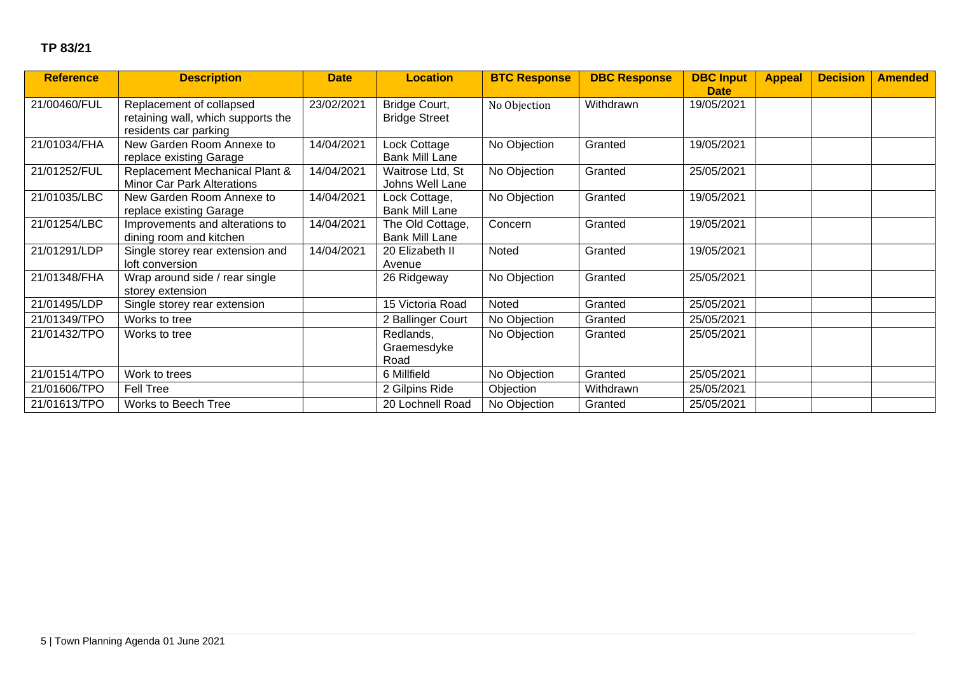# **TP 83/21**

| <b>Reference</b> | <b>Description</b>                                                                      | <b>Date</b> | <b>Location</b>                           | <b>BTC Response</b> | <b>DBC Response</b> | <b>DBC Input</b><br><b>Date</b> | <b>Appeal</b> | <b>Decision</b> | <b>Amended</b> |
|------------------|-----------------------------------------------------------------------------------------|-------------|-------------------------------------------|---------------------|---------------------|---------------------------------|---------------|-----------------|----------------|
| 21/00460/FUL     | Replacement of collapsed<br>retaining wall, which supports the<br>residents car parking | 23/02/2021  | Bridge Court,<br><b>Bridge Street</b>     | No Objection        | Withdrawn           | 19/05/2021                      |               |                 |                |
| 21/01034/FHA     | New Garden Room Annexe to<br>replace existing Garage                                    | 14/04/2021  | Lock Cottage<br><b>Bank Mill Lane</b>     | No Objection        | Granted             | 19/05/2021                      |               |                 |                |
| 21/01252/FUL     | Replacement Mechanical Plant &<br><b>Minor Car Park Alterations</b>                     | 14/04/2021  | Waitrose Ltd, St<br>Johns Well Lane       | No Objection        | Granted             | 25/05/2021                      |               |                 |                |
| 21/01035/LBC     | New Garden Room Annexe to<br>replace existing Garage                                    | 14/04/2021  | Lock Cottage,<br><b>Bank Mill Lane</b>    | No Objection        | Granted             | 19/05/2021                      |               |                 |                |
| 21/01254/LBC     | Improvements and alterations to<br>dining room and kitchen                              | 14/04/2021  | The Old Cottage,<br><b>Bank Mill Lane</b> | Concern             | Granted             | 19/05/2021                      |               |                 |                |
| 21/01291/LDP     | Single storey rear extension and<br>loft conversion                                     | 14/04/2021  | 20 Elizabeth II<br>Avenue                 | Noted               | Granted             | 19/05/2021                      |               |                 |                |
| 21/01348/FHA     | Wrap around side / rear single<br>storey extension                                      |             | 26 Ridgeway                               | No Objection        | Granted             | 25/05/2021                      |               |                 |                |
| 21/01495/LDP     | Single storey rear extension                                                            |             | 15 Victoria Road                          | Noted               | Granted             | 25/05/2021                      |               |                 |                |
| 21/01349/TPO     | Works to tree                                                                           |             | 2 Ballinger Court                         | No Objection        | Granted             | 25/05/2021                      |               |                 |                |
| 21/01432/TPO     | Works to tree                                                                           |             | Redlands,<br>Graemesdyke<br>Road          | No Objection        | Granted             | 25/05/2021                      |               |                 |                |
| 21/01514/TPO     | Work to trees                                                                           |             | 6 Millfield                               | No Objection        | Granted             | 25/05/2021                      |               |                 |                |
| 21/01606/TPO     | Fell Tree                                                                               |             | 2 Gilpins Ride                            | Objection           | Withdrawn           | 25/05/2021                      |               |                 |                |
| 21/01613/TPO     | Works to Beech Tree                                                                     |             | 20 Lochnell Road                          | No Objection        | Granted             | 25/05/2021                      |               |                 |                |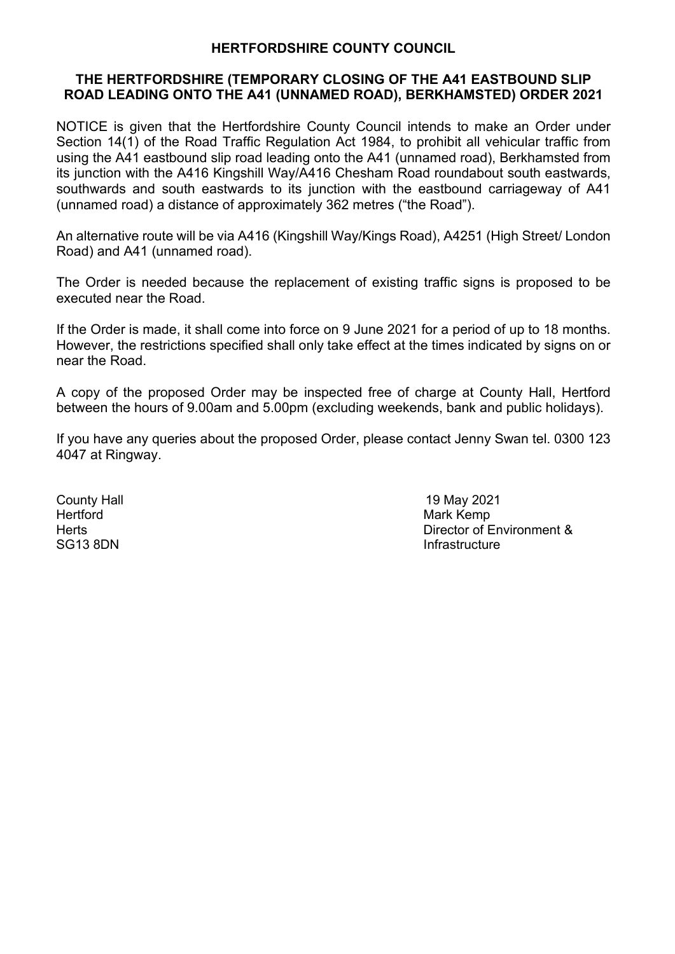### **HERTFORDSHIRE COUNTY COUNCIL**

#### **THE HERTFORDSHIRE (TEMPORARY CLOSING OF THE A41 EASTBOUND SLIP ROAD LEADING ONTO THE A41 (UNNAMED ROAD), BERKHAMSTED) ORDER 2021**

NOTICE is given that the Hertfordshire County Council intends to make an Order under Section 14(1) of the Road Traffic Regulation Act 1984, to prohibit all vehicular traffic from using the A41 eastbound slip road leading onto the A41 (unnamed road), Berkhamsted from its junction with the A416 Kingshill Way/A416 Chesham Road roundabout south eastwards, southwards and south eastwards to its junction with the eastbound carriageway of A41 (unnamed road) a distance of approximately 362 metres ("the Road").

An alternative route will be via A416 (Kingshill Way/Kings Road), A4251 (High Street/ London Road) and A41 (unnamed road).

The Order is needed because the replacement of existing traffic signs is proposed to be executed near the Road.

If the Order is made, it shall come into force on 9 June 2021 for a period of up to 18 months. However, the restrictions specified shall only take effect at the times indicated by signs on or near the Road.

A copy of the proposed Order may be inspected free of charge at County Hall, Hertford between the hours of 9.00am and 5.00pm (excluding weekends, bank and public holidays).

If you have any queries about the proposed Order, please contact Jenny Swan tel. 0300 123 4047 at Ringway.

Hertford Mark Kemp

County Hall 19 May 2021 Herts **Director of Environment &** SG13 8DN **Infrastructure**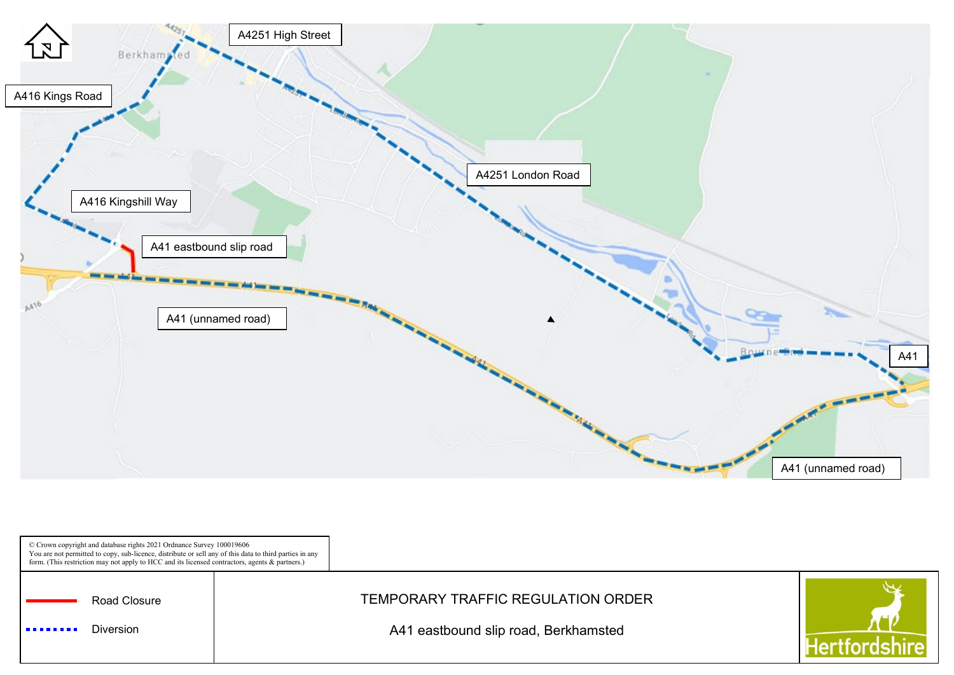

| © Crown copyright and database rights 2021 Ordnance Survey 100019606<br>You are not permitted to copy, sub-licence, distribute or sell any of this data to third parties in any<br>form. (This restriction may not apply to HCC and its licensed contractors, agents $\&$ partners.) |                                                                            |  |
|--------------------------------------------------------------------------------------------------------------------------------------------------------------------------------------------------------------------------------------------------------------------------------------|----------------------------------------------------------------------------|--|
| Road Closure<br><b>Diversion</b><br>                                                                                                                                                                                                                                                 | TEMPORARY TRAFFIC REGULATION ORDER<br>A41 eastbound slip road, Berkhamsted |  |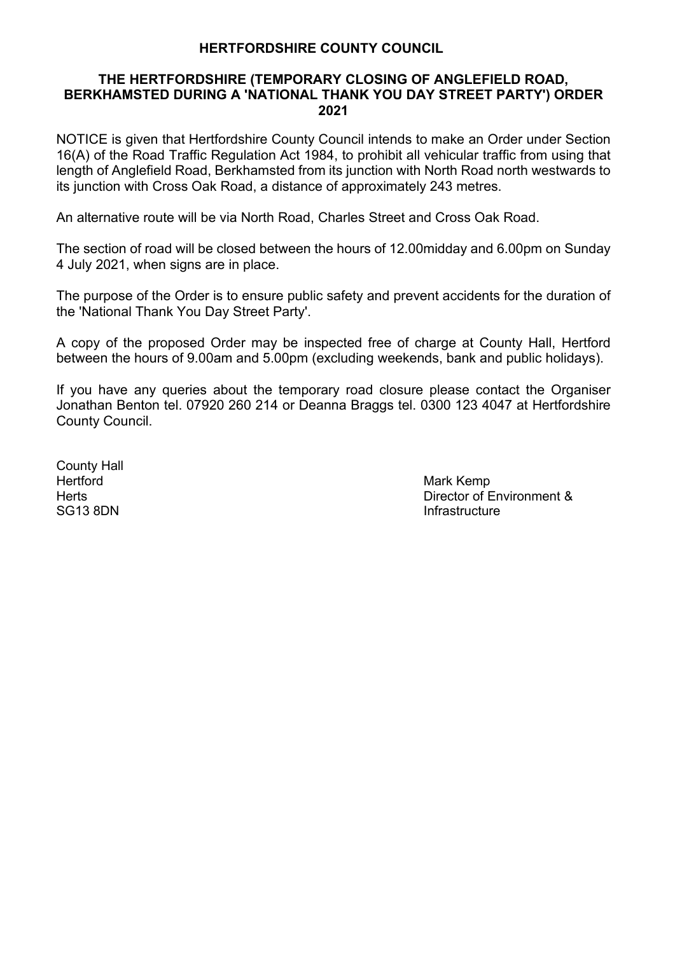### **HERTFORDSHIRE COUNTY COUNCIL**

#### **THE HERTFORDSHIRE (TEMPORARY CLOSING OF ANGLEFIELD ROAD, BERKHAMSTED DURING A 'NATIONAL THANK YOU DAY STREET PARTY') ORDER 2021**

NOTICE is given that Hertfordshire County Council intends to make an Order under Section 16(A) of the Road Traffic Regulation Act 1984, to prohibit all vehicular traffic from using that length of Anglefield Road, Berkhamsted from its junction with North Road north westwards to its junction with Cross Oak Road, a distance of approximately 243 metres.

An alternative route will be via North Road, Charles Street and Cross Oak Road.

The section of road will be closed between the hours of 12.00midday and 6.00pm on Sunday 4 July 2021, when signs are in place.

The purpose of the Order is to ensure public safety and prevent accidents for the duration of the 'National Thank You Day Street Party'.

A copy of the proposed Order may be inspected free of charge at County Hall, Hertford between the hours of 9.00am and 5.00pm (excluding weekends, bank and public holidays).

If you have any queries about the temporary road closure please contact the Organiser Jonathan Benton tel. 07920 260 214 or Deanna Braggs tel. 0300 123 4047 at Hertfordshire County Council.

County Hall Hertford **Mark Kemp and Account Account Account Account Account Account Account Account Account Account Account**<br>Herts

Herts<br>
SG13 8DN<br>
SG13 8DN **Infrastructure**